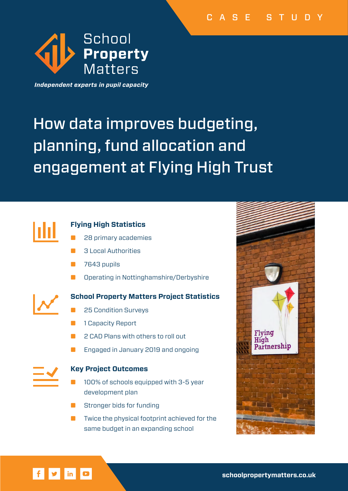

Independent experts in pupil capacity

# How data improves budgeting, planning, fund allocation and engagement at Flying High Trust



# **Flying High Statistics**

- 28 primary academies
- 3 Local Authorities
- 7643 pupils
- Operating in Nottinghamshire/Derbyshire



# **School Property Matters Project Statistics**

- 25 Condition Surveys
- 1 Capacity Report
- 2 CAD Plans with others to roll out
- Engaged in January 2019 and ongoing



 $|\mathbf{y}|$ 

 $\vert$  in  $\vert$ 

# **Key Project Outcomes**

- 100% of schools equipped with 3-5 year development plan
- Stronger bids for funding
- Twice the physical footprint achieved for the same budget in an expanding school

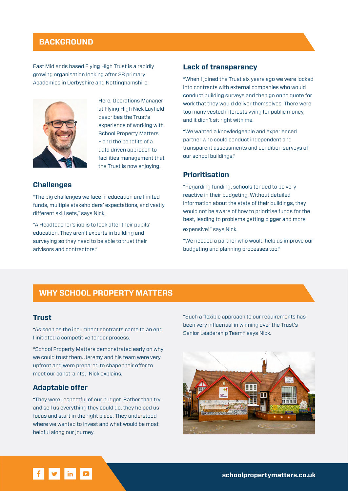# **BACKGROUND**

East Midlands based Flying High Trust is a rapidly growing organisation looking after 28 primary Academies in Derbyshire and Nottinghamshire.



Here, Operations Manager at Flying High Nick Layfield describes the Trust's experience of working with School Property Matters – and the benefits of a data driven approach to facilities management that the Trust is now enjoying.

#### **Challenges**

"The big challenges we face in education are limited funds, multiple stakeholders' expectations, and vastly different skill sets," says Nick.

"A Headteacher's job is to look after their pupils' education. They aren't experts in building and surveying so they need to be able to trust their advisors and contractors."

#### **Lack of transparency**

"When I joined the Trust six years ago we were locked into contracts with external companies who would conduct building surveys and then go on to quote for work that they would deliver themselves. There were too many vested interests vying for public money, and it didn't sit right with me.

"We wanted a knowledgeable and experienced partner who could conduct independent and transparent assessments and condition surveys of our school buildings."

#### **Prioritisation**

"Regarding funding, schools tended to be very reactive in their budgeting. Without detailed information about the state of their buildings, they would not be aware of how to prioritise funds for the best, leading to problems getting bigger and more expensive!" says Nick.

"We needed a partner who would help us improve our budgeting and planning processes too."

#### **WHY SCHOOL PROPERTY MATTERS**

#### **Trust**

"As soon as the incumbent contracts came to an end I initiated a competitive tender process.

"School Property Matters demonstrated early on why we could trust them. Jeremy and his team were very upfront and were prepared to shape their offer to meet our constraints," Nick explains.

#### **Adaptable offer**

"They were respectful of our budget. Rather than try and sell us everything they could do, they helped us focus and start in the right place. They understood where we wanted to invest and what would be most helpful along our journey.

"Such a flexible approach to our requirements has been very influential in winning over the Trust's Senior Leadership Team," says Nick.



# $\mathbf{y}$  in  $\mathbf{z}$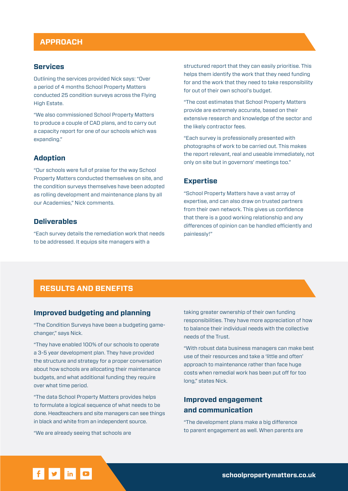# **APPROACH**

#### **Services**

Outlining the services provided Nick says: "Over a period of 4 months School Property Matters conducted 25 condition surveys across the Flying High Estate.

"We also commissioned School Property Matters to produce a couple of CAD plans, and to carry out a capacity report for one of our schools which was expanding."

#### **Adoption**

"Our schools were full of praise for the way School Property Matters conducted themselves on site, and the condition surveys themselves have been adopted as rolling development and maintenance plans by all our Academies," Nick comments.

#### **Deliverables**

"Each survey details the remediation work that needs to be addressed. It equips site managers with a

structured report that they can easily prioritise. This helps them identify the work that they need funding for and the work that they need to take responsibility for out of their own school's budget.

"The cost estimates that School Property Matters provide are extremely accurate, based on their extensive research and knowledge of the sector and the likely contractor fees.

"Each survey is professionally presented with photographs of work to be carried out. This makes the report relevant, real and useable immediately, not only on site but in governors' meetings too."

#### **Expertise**

"School Property Matters have a vast array of expertise, and can also draw on trusted partners from their own network. This gives us confidence that there is a good working relationship and any differences of opinion can be handled efficiently and painlessly!"

# **RESULTS AND BENEFITS**

#### **Improved budgeting and planning**

"The Condition Surveys have been a budgeting gamechanger," says Nick.

"They have enabled 100% of our schools to operate a 3-5 year development plan. They have provided the structure and strategy for a proper conversation about how schools are allocating their maintenance budgets, and what additional funding they require over what time period.

"The data School Property Matters provides helps to formulate a logical sequence of what needs to be done. Headteachers and site managers can see things in black and white from an independent source.

"We are already seeing that schools are

taking greater ownership of their own funding responsibilities. They have more appreciation of how to balance their individual needs with the collective needs of the Trust.

"With robust data business managers can make best use of their resources and take a 'little and often' approach to maintenance rather than face huge costs when remedial work has been put off for too long," states Nick.

# **Improved engagement and communication**

"The development plans make a big difference to parent engagement as well. When parents are

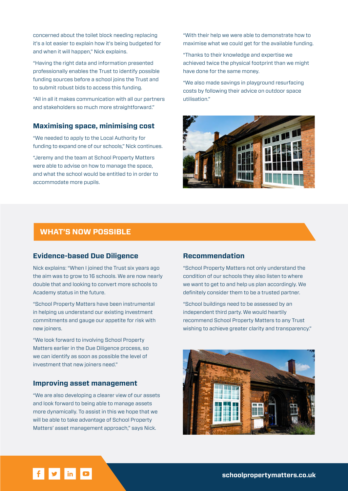concerned about the toilet block needing replacing it's a lot easier to explain how it's being budgeted for and when it will happen," Nick explains.

"Having the right data and information presented professionally enables the Trust to identify possible funding sources before a school joins the Trust and to submit robust bids to access this funding.

"All in all it makes communication with all our partners and stakeholders so much more straightforward."

#### **Maximising space, minimising cost**

"We needed to apply to the Local Authority for funding to expand one of our schools," Nick continues.

"Jeremy and the team at School Property Matters were able to advise on how to manage the space, and what the school would be entitled to in order to accommodate more pupils.

"With their help we were able to demonstrate how to maximise what we could get for the available funding.

"Thanks to their knowledge and expertise we achieved twice the physical footprint than we might have done for the same money.

"We also made savings in playground resurfacing costs by following their advice on outdoor space utilisation."



# **WHAT'S NOW POSSIBLE**

#### **Evidence-based Due Diligence**

Nick explains: "When I joined the Trust six years ago the aim was to grow to 16 schools. We are now nearly double that and looking to convert more schools to Academy status in the future.

"School Property Matters have been instrumental in helping us understand our existing investment commitments and gauge our appetite for risk with new joiners.

"We look forward to involving School Property Matters earlier in the Due Diligence process, so we can identify as soon as possible the level of investment that new joiners need."

#### **Improving asset management**

"We are also developing a clearer view of our assets and look forward to being able to manage assets more dynamically. To assist in this we hope that we will be able to take advantage of School Property Matters' asset management approach," says Nick.

#### **Recommendation**

"School Property Matters not only understand the condition of our schools they also listen to where we want to get to and help us plan accordingly. We definitely consider them to be a trusted partner.

"School buildings need to be assessed by an independent third party. We would heartily recommend School Property Matters to any Trust wishing to achieve greater clarity and transparency."